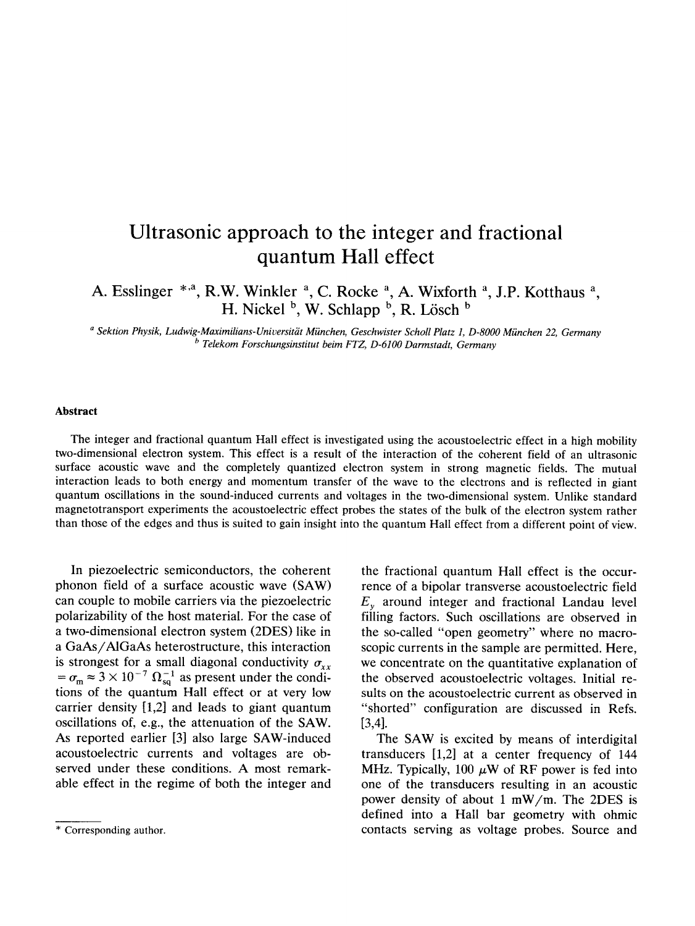## Ultrasonic approach to the integer and fractional quantum Hall effect

A. Esslinger \*,<sup>a</sup>, R.W. Winkler <sup>a</sup>, C. Rocke <sup>a</sup>, A. Wixforth <sup>a</sup>, J.P. Kotthaus <sup>a</sup>, H. Nickel  $\frac{b}{b}$ , W. Schlapp  $\frac{b}{c}$ , R. Lösch  $\frac{b}{c}$ 

0*Sektion Physik, Ludwig-Maximilians-Universitiit Miinchen, Geschwister Scholl Platz 1, D-8000 Miinchen 22, Germany* <sup>*b*</sup> Telekom Forschungsinstitut *beim FTZ, D-6100 Darmstadt, Germany* 

## Abstract

The integer and fractional quantum Hall effect is investigated using the acoustoelectric effect in a high mobility two-dimensional electron system. This effect is a result of the interaction of the coherent field of an ultrasonic surface acoustic wave and the completely quantized electron system in strong magnetic fields. The mutual interaction leads to both energy and momentum transfer of the wave to the electrons and is reflected in giant quantum oscillations in the sound-induced currents and voltages in the two-dimensional system. Unlike standard magnetotransport experiments the acoustoelectric effect probes the states of the bulk of the electron system rather than those of the edges and thus is suited to gain insight into the quantum Hall effect from a different point of view.

In piezoelectric semiconductors, the coherent phonon field of a surface acoustic wave (SAW) can couple to mobile carriers via the piezoelectric polarizability of the host material. For the case of a two-dimensionai eIectron system (2DES) like in a GaAs/AlGaAs heterostructure, this interaction is strongest for a small diagonal conductivity  $\sigma_{xx}$  $=\sigma_{\rm m} \approx 3 \times 10^{-7} \Omega_{\rm sq}^{-1}$  as present under the condition: of the quantum Hall effect or at very low carrier density [1,2] and leads to giant quantum oscilIations of, e.g., the attenuation of the SAW. As reported earlier [3] also large SAW-induced acoustoelectric currents and voltages are observed under these conditions. A most remarkable effect in the regime of both the integer and

the fractional quantum Hall effect is the occurrence of a bipolar transverse acoustoelectric field  $E<sub>v</sub>$  around integer and fractional Landau level filling factors. Such oscillations are observed in the so-called "open geometry" where no macroscopic currents in the sample are permitted. Here, we concentrate on the quantitative explanation of the observed acoustoelectric voltages. Initial results on the acoustoelectric current as observed in "shorted" configuration are discussed in Refs. I3,41.

The SAW is excited by means of interdigital transducers  $[1,2]$  at a center frequency of 144 MHz. Typically, 100  $\mu$ W of RF power is fed into one of the transducers resulting in an acoustic power density of about 1 mW/m. The 2DES is defined into a Hall bar geometry with ohmic contacts serving as voltage probes. Source and

<sup>\*</sup> Corresponding author.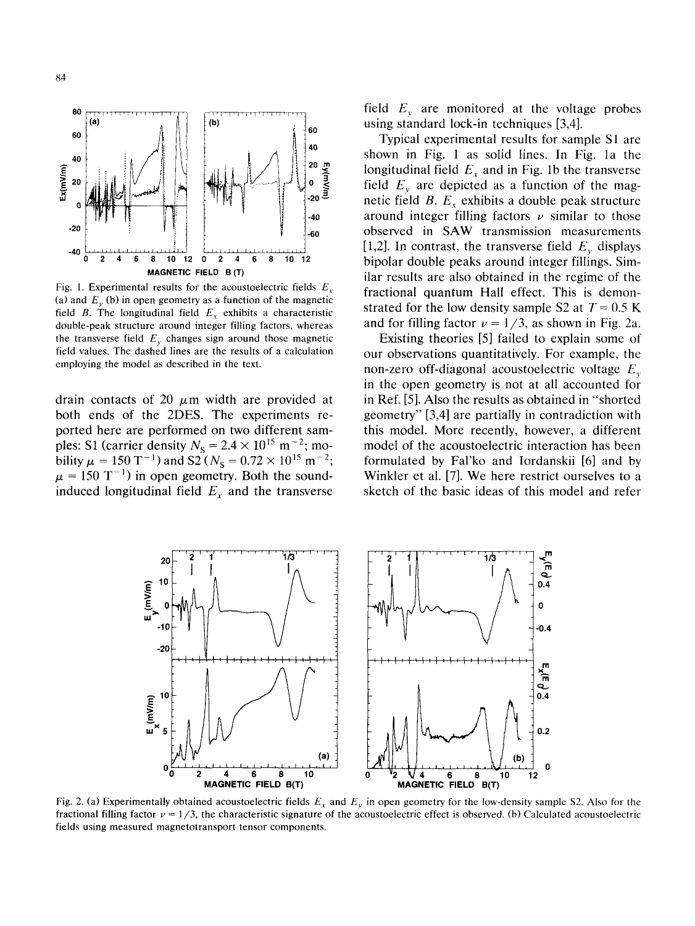

Fig. 1. Experimental results for the acoustoelectric fields  $E<sub>r</sub>$ (a) and  $E<sub>v</sub>$  (b) in open geometry as a function of the magnetic field B. The longitudinal field  $E_x$  exhibits a characteristic double-peak structure around integer filling factors, whereas the transverse field  $E_y$ , changes sign around those magnetic field values. The dashed lines are the results of a calculation employing the model as described in the text.

drain contacts of 20  $\mu$ m width are provided at both ends of the 2DES. The experiments reported here are performed on two different samples: SI (carrier density  $N_{\rm S} = 2.4 \times 10^{10}$  m- $\gamma$ ; mobility  $\mu = 150$  T<sup>-1</sup>) and S2 ( $N_s = 0.72 \times 10^{15}$  m  $\mu = 150 \text{ T}^{-1}$ ) in open geometry. Both the soundinduced longitudinal field  $E<sub>x</sub>$  and the transverse field  $E<sub>v</sub>$  are monitored at the voltage probes using standard lock-in techniques [3,4].

Typical experimental results for sample Sl are shown in Fig. 1 as solid lines. In Fig. la the longitudinal field  $E<sub>x</sub>$  and in Fig. 1b the transverse field  $E<sub>v</sub>$  are depicted as a function of the magnetic field  $B$ .  $E_r$  exhibits a double peak structure around integer filling factors  $\nu$  similar to those observed in SAW transmission measurements [1,2]. In contrast, the transverse field  $E<sub>v</sub>$  displays bipolar double peaks around integer fillings. Similar results are also obtained in the regime of the fractional quantum Hall effect. This is demonstrated for the low density sample S2 at  $T = 0.5$  K and for filling factor  $\nu = 1/3$ , as shown in Fig. 2a.

Existing theories [5] failed to explain some of our observations quantitatively. For example, the non-zero off-diagonal acoustoelectric voltage  $E<sub>r</sub>$ in the open geometry is not at all accounted for in Ref. [5]. Also the results as obtained in "shorted geometry" [3,4] are partially in contradiction with this model. More recently, however, a different model of the acoustoelectric interaction has been formulated by Fal'ko and Iordanskii [6] and by Winkler et al. [7]. We here restrict ourselves to a sketch of the basic ideas of this model and refer



Fig. 2. (a) Experimentally obtained acoustoelectric fields  $E_x$  and  $E_y$  in open geometry for the low-density sample S2. Also for the fractional filling factor  $\nu = 1/3$ , the characteristic signature of the acoustoelectric effect is observed. (b) Calculated acoustoelectric fields using measured magnetotransport tensor components.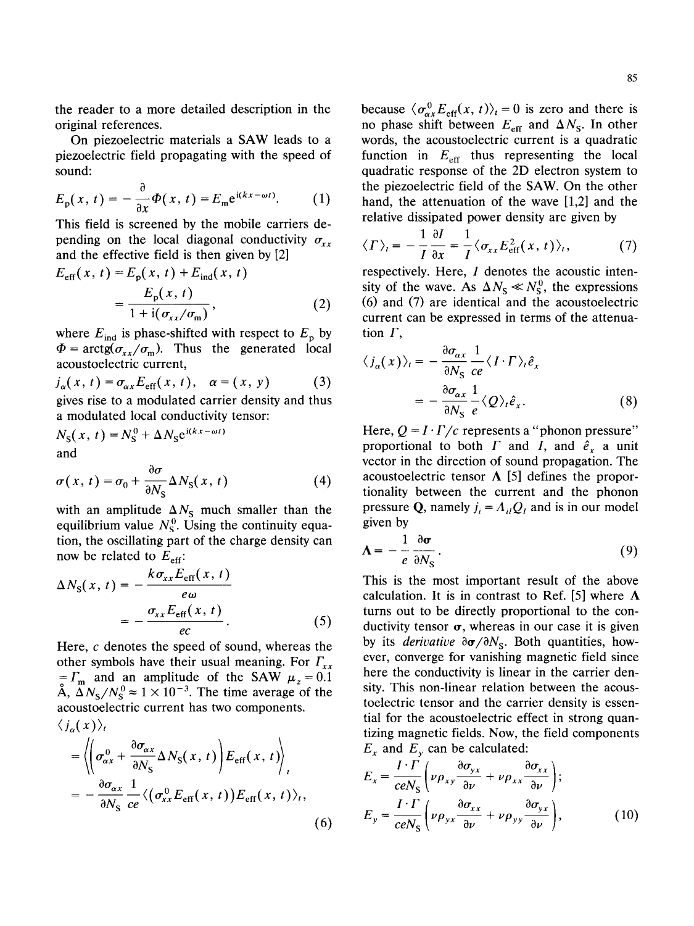the reader to a more detailed description in the original references.

On piezoelectric materials a SAW leads to a piezoelectric field propagating with the speed of sound:

$$
E_{\rm p}(x,\,t)=-\frac{\mathrm{d}}{\mathrm{d}x}\Phi(x,\,t)=E_{\rm m}\mathrm{e}^{\mathrm{i}(kx-\omega t)}.\qquad(1)
$$

This field is screened by the mobile carriers depending on the local diagonal conductivity  $\sigma_{xx}$ and the effective field is then given by [2]

$$
E_{\text{eff}}(x, t) = E_{\text{p}}(x, t) + E_{\text{ind}}(x, t)
$$

$$
= \frac{E_{\text{p}}(x, t)}{1 + \text{i}(\sigma_{xx}/\sigma_{\text{m}})},
$$
(2)

where  $E_{\text{ind}}$  is phase-shifted with respect to  $E_{\text{p}}$  by  $\Phi = \arctg(\sigma_{xx}/\sigma_{m})$ . Thus the generated local acoustoelectric current,

$$
j_{\alpha}(x, t) = \sigma_{\alpha x} E_{\text{eff}}(x, t), \quad \alpha = (x, y)
$$
 (3)  
gives rise to a modulated carrier density and thus

gives rise to a modulated carrier density and thus a modulated local conductivity tensor:

$$
N_{\rm S}(x, t) = N_{\rm S}^0 + \Delta N_{\rm S} e^{i(kx - \omega t)}
$$
  
and

$$
\sigma(x, t) = \sigma_0 + \frac{\partial \sigma}{\partial N_S} \Delta N_S(x, t)
$$
 (4)

with an amplitude  $\Delta N_s$  much smaller than the equilibrium value  $N_{\rm S}^0$ . Using the continuity equation, the oscillating part of the charge density can now be related to  $E_{\text{eff}}$ :

$$
\Delta N_{\rm S}(x, t) = -\frac{k\sigma_{xx}E_{\rm eff}(x, t)}{e\omega}
$$

$$
= -\frac{\sigma_{xx}E_{\rm eff}(x, t)}{ec}.
$$
(5)

Here,  $c$  denotes the speed of sound, whereas the other symbols have their usual meaning. For  $\Gamma_{xx}$  $= \Gamma_m$  and an amplitude of the SAW  $\mu_z = 0.1$ A,  $\Delta N_{\rm s}/N_{\rm s}^0 \approx 1 \times 10^{-3}$ . The time average of the acoustoelectric current has two components.

$$
\langle j_{\alpha}(x) \rangle_{t}
$$
\n
$$
= \left\langle \left( \sigma_{\alpha x}^{0} + \frac{\partial \sigma_{\alpha x}}{\partial N_{S}} \Delta N_{S}(x, t) \right) E_{\text{eff}}(x, t) \right\rangle_{t}
$$
\n
$$
= -\frac{\partial \sigma_{\alpha x}}{\partial N_{S}} \frac{1}{ce} \left\langle \left( \sigma_{xx}^{0} E_{\text{eff}}(x, t) \right) E_{\text{eff}}(x, t) \right\rangle_{t}, \tag{6}
$$

because  $\langle \sigma_{\alpha x}^0 E_{\text{eff}}(x, t) \rangle_t = 0$  is zero and there is no phase shift between  $E_{\text{eff}}$  and  $\Delta N_{\text{S}}$ . In other words, the acoustoelectric current is a quadratic function in  $E_{\text{eff}}$  thus representing the local quadratic response of the 2D electron system to the piezoelectric field of the SAW. On the other hand, the attenuation of the wave [1,2] and the relative dissipated power density are given by

$$
\langle \Gamma \rangle_t = -\frac{1}{I} \frac{\partial I}{\partial x} = \frac{1}{I} \langle \sigma_{xx} E_{\text{eff}}^2(x, t) \rangle_t, \tag{7}
$$

respectively. Here,  $I$  denotes the acoustic intensity of the wave. As  $\Delta N_{\rm S} \ll N_{\rm S}^0$ , the expressions (6) and (7) are identical and the acoustoelectric current can be expressed in terms of the attenuation  $\Gamma$ ,

$$
\langle j_{\alpha}(x) \rangle_{t} = -\frac{\partial \sigma_{\alpha x}}{\partial N_{\rm S}} \frac{1}{ce} \langle I \cdot \Gamma \rangle_{t} \hat{e}_{x}
$$

$$
= -\frac{\partial \sigma_{\alpha x}}{\partial N_{\rm S}} \frac{1}{e} \langle Q \rangle_{t} \hat{e}_{x}.
$$
(8)

Here,  $Q = I \cdot \Gamma/c$  represents a "phonon pressure" proportional to both  $\Gamma$  and  $I$ , and  $\hat{e}_r$  a unit vector in the direction of sound propagation. The acoustoelectric tensor  $\Lambda$  [5] defines the proportionality between the current and the phonon pressure Q, namely  $j_i = A_{ii}Q_i$  and is in our model given by

$$
\Lambda = -\frac{1}{e} \frac{\partial \sigma}{\partial N_S}.
$$
 (9)

This is the most important result of the above calculation. It is in contrast to Ref. [5] where  $\Lambda$ turns out to be directly proportional to the conductivity tensor  $\sigma$ , whereas in our case it is given by its *derivative*  $\partial \sigma / \partial N_s$ . Both quantities, however, converge for vanishing magnetic field since here the conductivity is linear in the carrier density. This non-linear relation between the acoustoelectric tensor and the carrier density is essential for the acoustoelectric effect in strong quantizing magnetic fields. Now, the field components  $E_x$  and  $E_y$  can be calculated:

$$
E_x = \frac{I \cdot \Gamma}{ceN_S} \left( \nu \rho_{xy} \frac{\partial \sigma_{yx}}{\partial \nu} + \nu \rho_{xx} \frac{\partial \sigma_{xx}}{\partial \nu} \right);
$$
  
\n
$$
E_y = \frac{I \cdot \Gamma}{ceN_S} \left( \nu \rho_{yx} \frac{\partial \sigma_{xx}}{\partial \nu} + \nu \rho_{yy} \frac{\partial \sigma_{yx}}{\partial \nu} \right),
$$
 (10)